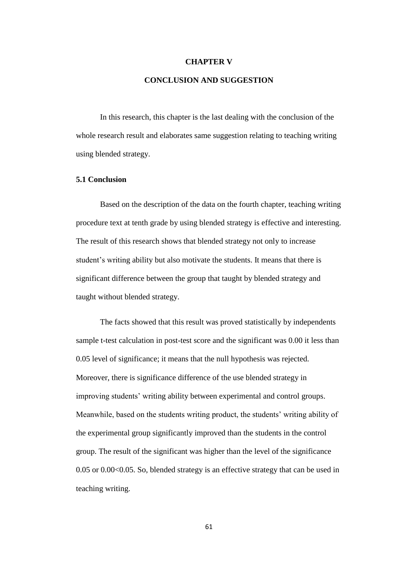## **CHAPTER V**

## **CONCLUSION AND SUGGESTION**

In this research, this chapter is the last dealing with the conclusion of the whole research result and elaborates same suggestion relating to teaching writing using blended strategy.

## **5.1 Conclusion**

Based on the description of the data on the fourth chapter, teaching writing procedure text at tenth grade by using blended strategy is effective and interesting. The result of this research shows that blended strategy not only to increase student's writing ability but also motivate the students. It means that there is significant difference between the group that taught by blended strategy and taught without blended strategy.

The facts showed that this result was proved statistically by independents sample t-test calculation in post-test score and the significant was 0.00 it less than 0.05 level of significance; it means that the null hypothesis was rejected. Moreover, there is significance difference of the use blended strategy in improving students' writing ability between experimental and control groups. Meanwhile, based on the students writing product, the students' writing ability of the experimental group significantly improved than the students in the control group. The result of the significant was higher than the level of the significance 0.05 or 0.00<0.05. So, blended strategy is an effective strategy that can be used in teaching writing.